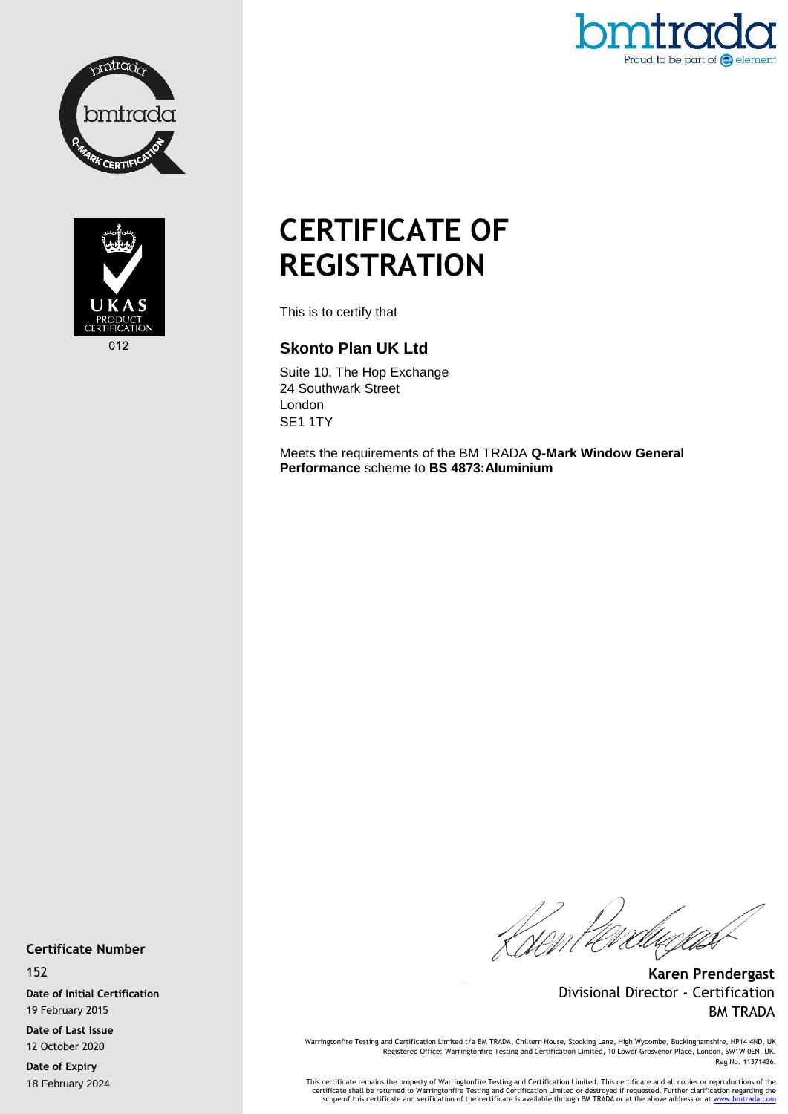



Proud to be part of  $\bigodot$  element

# **CERTIFICATE OF REGISTRATION**

This is to certify that

## **Skonto Plan UK Ltd**

Suite 10, The Hop Exchange 24 Southwark Street London SE1 1TY

Meets the requirements of the BM TRADA **Q-Mark Window General Performance** scheme to **BS 4873:Aluminium**

#### **Certificate Number**

152

**Date of Initial Certification** 19 February 2015

**Date of Last Issue** 12 October 2020

**Date of Expiry** 18 February 2024

Kirint éredu*gun* 

**Karen Prendergast** Divisional Director - Certification BM TRADA

Warringtonfire Testing and Certification Limited t/a BM TRADA, Chiltern House, Stocking Lane, High Wycombe, Buckinghamshire, HP14 4ND, UK Registered Office: Warringtonfire Testing and Certification Limited, 10 Lower Grosvenor Place, London, SW1W 0EN, UK. Reg No. 11371436.

This certificate remains the property of Warringtonfire Testing and Certification Limited. This certificate and all copies or reproductions of the<br>Certificate shall be returned to Warringtonfire Testing and Certification L